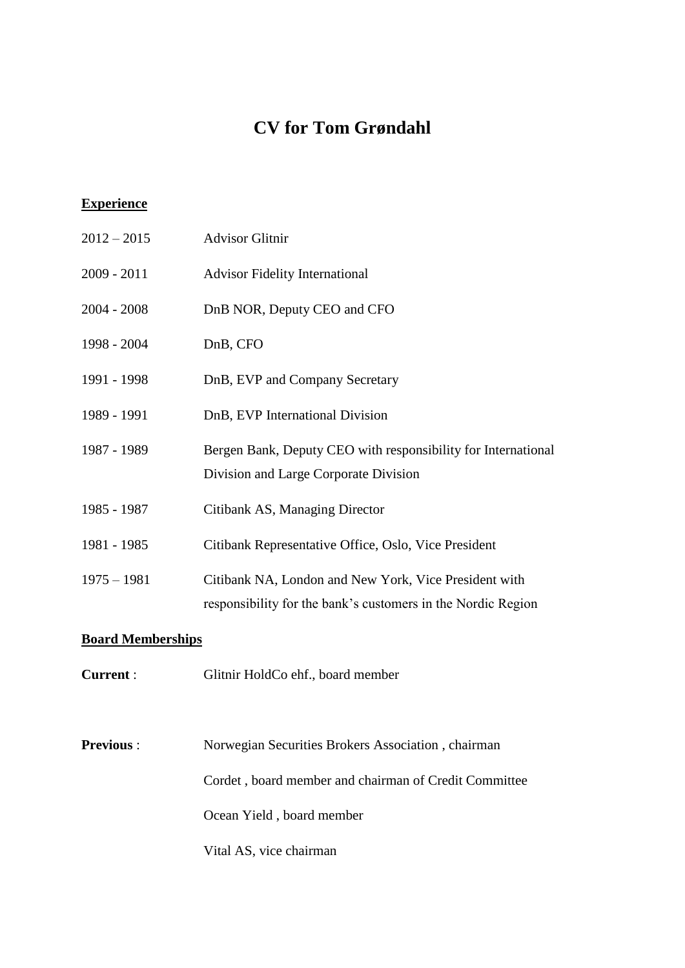## **CV for Tom Grøndahl**

## **Experience**

| $2012 - 2015$ | <b>Advisor Glitnir</b>                                                                                                |
|---------------|-----------------------------------------------------------------------------------------------------------------------|
| $2009 - 2011$ | <b>Advisor Fidelity International</b>                                                                                 |
| $2004 - 2008$ | DnB NOR, Deputy CEO and CFO                                                                                           |
| 1998 - 2004   | DnB, CFO                                                                                                              |
| 1991 - 1998   | DnB, EVP and Company Secretary                                                                                        |
| 1989 - 1991   | DnB, EVP International Division                                                                                       |
| 1987 - 1989   | Bergen Bank, Deputy CEO with responsibility for International<br>Division and Large Corporate Division                |
| 1985 - 1987   | Citibank AS, Managing Director                                                                                        |
| 1981 - 1985   | Citibank Representative Office, Oslo, Vice President                                                                  |
| $1975 - 1981$ | Citibank NA, London and New York, Vice President with<br>responsibility for the bank's customers in the Nordic Region |

## **Board Memberships**

**Current** : Glitnir HoldCo ehf., board member

**Previous** : Norwegian Securities Brokers Association , chairman Cordet , board member and chairman of Credit Committee Ocean Yield , board member Vital AS, vice chairman